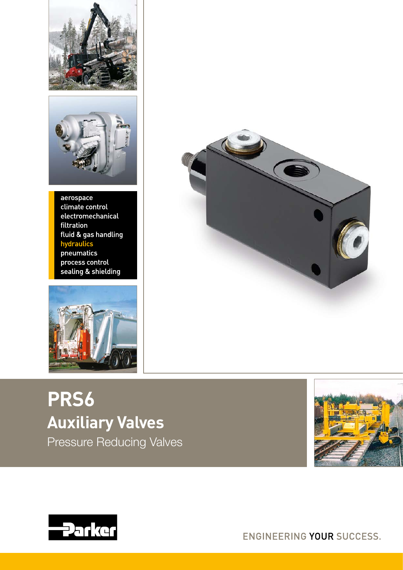



aerospace climate control electromechanical filtration fluid & gas handling<br>hydraulics pneumatics process control sealing & shielding









ENGINEERING YOUR SUCCESS.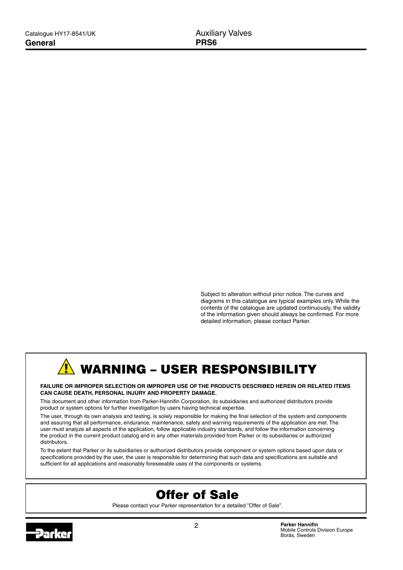Subject to alteration without prior notice. The curves and diagrams in this catalogue are typical examples only. While the contents of the catalogue are updated continuously, the validity of the information given should always be confirmed. For more detailed information, please contact Parker.

# WARNING – USER RESPONSIBILITY

#### **FAILURE OR IMPROPER SELECTION OR IMPROPER USE OF THE PRODUCTS DESCRIBED HEREIN OR RELATED ITEMS CAN CAUSE DEATH, PERSONAL INJURY AND PROPERTY DAMAGE.**

This document and other information from Parker-Hannifin Corporation, its subsidiaries and authorized distributors provide product or system options for further investigation by users having technical expertise.

The user, through its own analysis and testing, is solely responsible for making the final selection of the system and components and assuring that all performance, endurance, maintenance, safety and warning requirements of the application are met. The user must analyze all aspects of the application, follow applicable industry standards, and follow the information concerning the product in the current product catalog and in any other materials provided from Parker or its subsidiaries or authorized distributors.

To the extent that Parker or its subsidiaries or authorized distributors provide component or system options based upon data or specifications provided by the user, the user is responsible for determining that such data and specifications are suitable and sufficient for all applications and reasonably foreseeable uses of the components or systems.

## Offer of Sale

Please contact your Parker representation for a detailed "Offer of Sale".

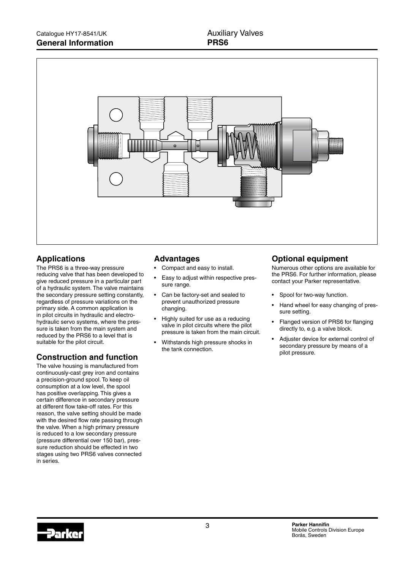

### **Applications**

The PRS6 is a three-way pressure reducing valve that has been developed to give reduced pressure in a particular part of a hydraulic system. The valve maintains the secondary pressure setting constantly, regardless of pressure variations on the primary side. A common application is in pilot circuits in hydraulic and electrohydraulic servo systems, where the pressure is taken from the main system and reduced by the PRS6 to a level that is suitable for the pilot circuit.

## **Construction and function**

The valve housing is manufactured from continuously-cast grey iron and contains a precision-ground spool. To keep oil consumption at a low level, the spool has positive overlapping. This gives a certain difference in secondary pressure at different flow take-off rates. For this reason, the valve setting should be made with the desired flow rate passing through the valve. When a high primary pressure is reduced to a low secondary pressure (pressure differential over 150 bar), pressure reduction should be effected in two stages using two PRS6 valves connected in series.

### **Advantages**

- Compact and easy to install.
- • Easy to adjust within respective pressure range.
- Can be factory-set and sealed to prevent unauthorized pressure changing.
- Highly suited for use as a reducing valve in pilot circuits where the pilot pressure is taken from the main circuit.
- Withstands high pressure shocks in the tank connection.

### **Optional equipment**

Numerous other options are available for the PRS6. For further information, please contact your Parker representative.

- • Spool for two-way function.
- Hand wheel for easy changing of pressure setting.
- • Flanged version of PRS6 for flanging directly to, e.g. a valve block.
- Adjuster device for external control of secondary pressure by means of a pilot pressure.

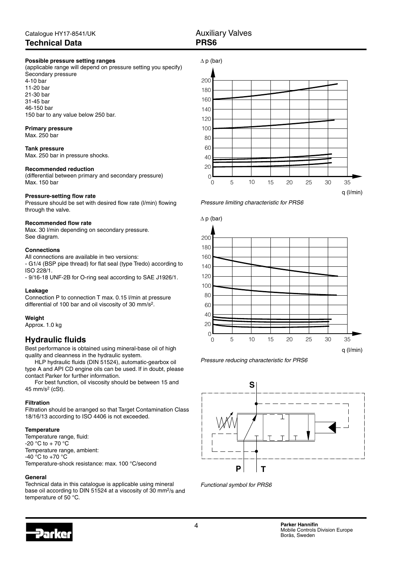#### **Possible pressure setting ranges**

(applicable range will depend on pressure setting you specify) Secondary pressure

4-10 bar 11-20 bar 21-30 bar 31-45 bar 46-150 bar 150 bar to any value below 250 bar.

#### **Primary pressure**

Max. 250 bar

#### **Tank pressure**

Max. 250 bar in pressure shocks.

#### **Recommended reduction**

(differential between primary and secondary pressure) Max. 150 bar

#### **Pressure-setting flow rate**

Pressure should be set with desired flow rate (l/min) flowing through the valve.

#### **Recommended flow rate**

Max. 30 l/min depending on secondary pressure. See diagram.

#### **Connections**

All connections are available in two versions:

- G1/4 (BSP pipe thread) for flat seal (type Tredo) according to ISO 228/1.

- 9/16-18 UNF-2B for O-ring seal according to SAE J1926/1.

#### **Leakage**

Connection P to connection T max. 0.15 l/min at pressure differential of 100 bar and oil viscosity of 30 mm/s2.

#### **Weight**

Approx. 1.0 kg

### **Hydraulic fluids**

Best performance is obtained using mineral-base oil of high quality and cleanness in the hydraulic system.

HLP hydraulic fluids (DIN 51524), automatic-gearbox oil type A and API CD engine oils can be used. If in doubt, please contact Parker for further information.

For best function, oil viscosity should be between 15 and 45 mm/s2 (cSt).

#### **Filtration**

Filtration should be arranged so that Target Contamination Class 18/16/13 according to ISO 4406 is not exceeded.

#### **Temperature**

Temperature range, fluid:  $-20 °C$  to + 70 °C Temperature range, ambient: -40 °C to +70 °C Temperature-shock resistance: max. 100 °C/second

#### **General**

Technical data in this catalogue is applicable using mineral base oil according to DIN 51524 at a viscosity of 30 mm2/s and temperature of 50 °C.





*Pressure reducing characteristic for PRS6*



**Functional symbol for PRS6** 

### Auxiliary Valves **PRS6**

20 40  $60$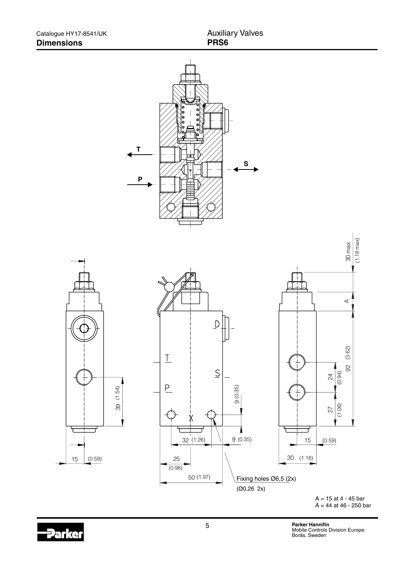

**Parker**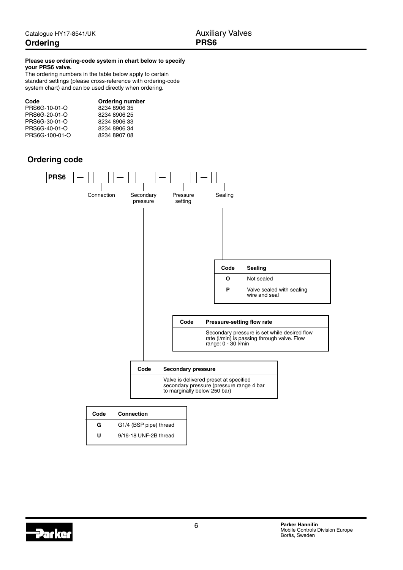#### **Please use ordering-code system in chart below to specify your PRS6 valve.**

The ordering numbers in the table below apply to certain standard settings (please cross-reference with ordering-code system chart) and can be used directly when ordering.

| Code           | <b>Ordering number</b> |
|----------------|------------------------|
| PRS6G-10-01-O  | 8234 8906 35           |
| PRS6G-20-01-O  | 8234 8906 25           |
| PRS6G-30-01-O  | 8234 8906 33           |
| PRS6G-40-01-O  | 8234 8906 34           |
| PRS6G-100-01-O | 8234 8907 08           |

## **Ordering code**



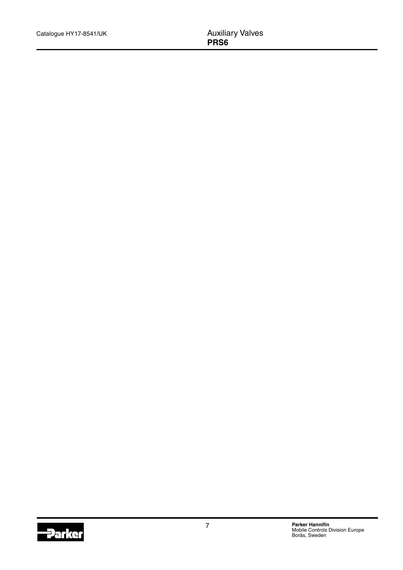